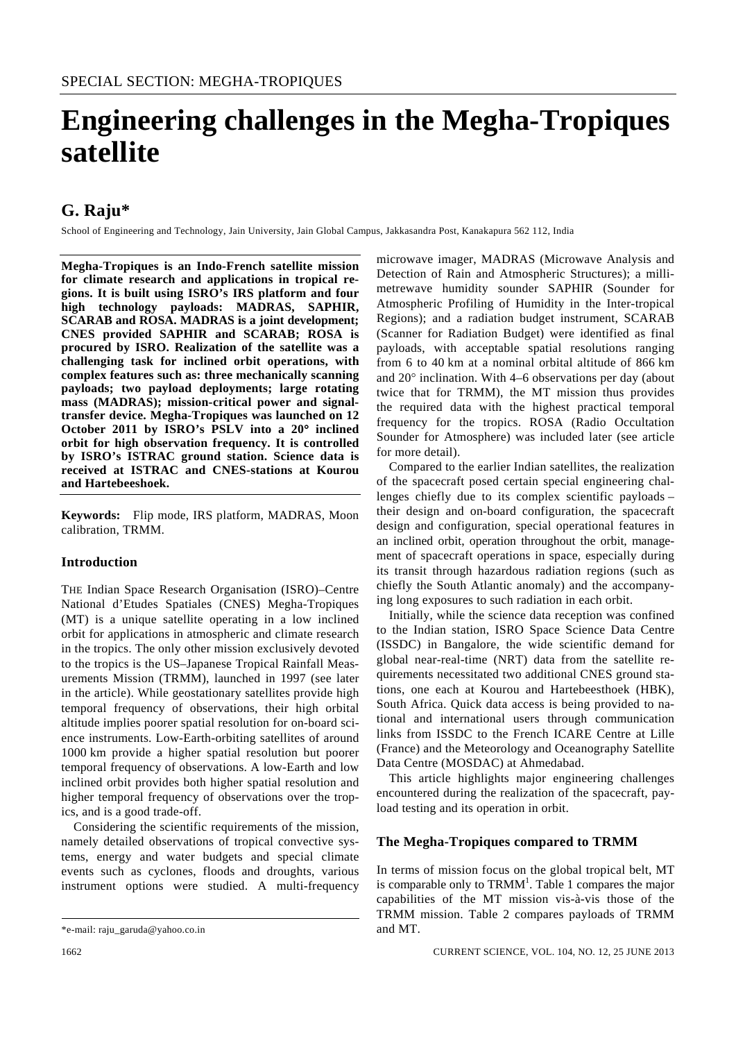# **Engineering challenges in the Megha-Tropiques satellite**

## **G. Raju\***

School of Engineering and Technology, Jain University, Jain Global Campus, Jakkasandra Post, Kanakapura 562 112, India

**Megha-Tropiques is an Indo-French satellite mission for climate research and applications in tropical regions. It is built using ISRO's IRS platform and four high technology payloads: MADRAS, SAPHIR, SCARAB and ROSA. MADRAS is a joint development; CNES provided SAPHIR and SCARAB; ROSA is procured by ISRO. Realization of the satellite was a challenging task for inclined orbit operations, with complex features such as: three mechanically scanning payloads; two payload deployments; large rotating mass (MADRAS); mission-critical power and signaltransfer device. Megha-Tropiques was launched on 12 October 2011 by ISRO's PSLV into a 20**° **inclined orbit for high observation frequency. It is controlled by ISRO's ISTRAC ground station. Science data is received at ISTRAC and CNES-stations at Kourou and Hartebeeshoek.** 

**Keywords:** Flip mode, IRS platform, MADRAS, Moon calibration, TRMM.

## **Introduction**

THE Indian Space Research Organisation (ISRO)–Centre National d'Etudes Spatiales (CNES) Megha-Tropiques (MT) is a unique satellite operating in a low inclined orbit for applications in atmospheric and climate research in the tropics. The only other mission exclusively devoted to the tropics is the US–Japanese Tropical Rainfall Measurements Mission (TRMM), launched in 1997 (see later in the article). While geostationary satellites provide high temporal frequency of observations, their high orbital altitude implies poorer spatial resolution for on-board science instruments. Low-Earth-orbiting satellites of around 1000 km provide a higher spatial resolution but poorer temporal frequency of observations. A low-Earth and low inclined orbit provides both higher spatial resolution and higher temporal frequency of observations over the tropics, and is a good trade-off.

 Considering the scientific requirements of the mission, namely detailed observations of tropical convective systems, energy and water budgets and special climate events such as cyclones, floods and droughts, various instrument options were studied. A multi-frequency microwave imager, MADRAS (Microwave Analysis and Detection of Rain and Atmospheric Structures); a millimetrewave humidity sounder SAPHIR (Sounder for Atmospheric Profiling of Humidity in the Inter-tropical Regions); and a radiation budget instrument, SCARAB (Scanner for Radiation Budget) were identified as final payloads, with acceptable spatial resolutions ranging from 6 to 40 km at a nominal orbital altitude of 866 km and 20° inclination. With 4–6 observations per day (about twice that for TRMM), the MT mission thus provides the required data with the highest practical temporal frequency for the tropics. ROSA (Radio Occultation Sounder for Atmosphere) was included later (see article for more detail).

 Compared to the earlier Indian satellites, the realization of the spacecraft posed certain special engineering challenges chiefly due to its complex scientific payloads – their design and on-board configuration, the spacecraft design and configuration, special operational features in an inclined orbit, operation throughout the orbit, management of spacecraft operations in space, especially during its transit through hazardous radiation regions (such as chiefly the South Atlantic anomaly) and the accompanying long exposures to such radiation in each orbit.

 Initially, while the science data reception was confined to the Indian station, ISRO Space Science Data Centre (ISSDC) in Bangalore, the wide scientific demand for global near-real-time (NRT) data from the satellite requirements necessitated two additional CNES ground stations, one each at Kourou and Hartebeesthoek (HBK), South Africa. Quick data access is being provided to national and international users through communication links from ISSDC to the French ICARE Centre at Lille (France) and the Meteorology and Oceanography Satellite Data Centre (MOSDAC) at Ahmedabad.

 This article highlights major engineering challenges encountered during the realization of the spacecraft, payload testing and its operation in orbit.

## **The Megha-Tropiques compared to TRMM**

In terms of mission focus on the global tropical belt, MT is comparable only to  $TRMM<sup>1</sup>$ . Table 1 compares the major capabilities of the MT mission vis-à-vis those of the TRMM mission. Table 2 compares payloads of TRMM and MT.

<sup>\*</sup>e-mail: raju\_garuda@yahoo.co.in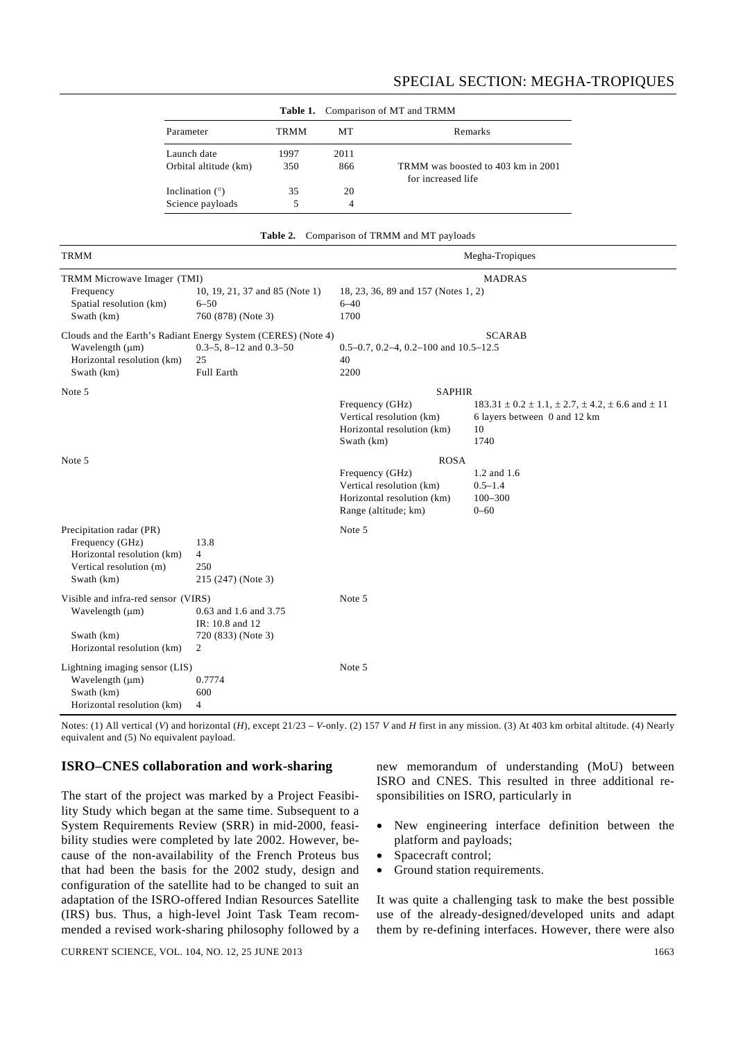|                       |      | <b>Table 1.</b> Comparison of MT and TRMM |                                                          |
|-----------------------|------|-------------------------------------------|----------------------------------------------------------|
| Parameter             | TRMM | MТ                                        | Remarks                                                  |
| Launch date           | 1997 | 2011                                      |                                                          |
| Orbital altitude (km) | 350  | 866                                       | TRMM was boosted to 403 km in 2001<br>for increased life |
| Inclination $(°)$     | 35   | 20                                        |                                                          |
| Science payloads      | 5    | 4                                         |                                                          |

| <b>Table 2.</b> Comparison of TRMM and MT payloads |  |  |  |
|----------------------------------------------------|--|--|--|
|----------------------------------------------------|--|--|--|

| <b>TRMM</b>                                                                                                        |                                                                                                                    | Megha-Tropiques                                                                                                  |                                                                                                                         |  |
|--------------------------------------------------------------------------------------------------------------------|--------------------------------------------------------------------------------------------------------------------|------------------------------------------------------------------------------------------------------------------|-------------------------------------------------------------------------------------------------------------------------|--|
| TRMM Microwave Imager (TMI)<br>Frequency<br>Spatial resolution (km)<br>Swath (km)                                  | 10, 19, 21, 37 and 85 (Note 1)<br>$6 - 50$<br>760 (878) (Note 3)                                                   | 18, 23, 36, 89 and 157 (Notes 1, 2)<br>$6 - 40$<br>1700                                                          | <b>MADRAS</b>                                                                                                           |  |
| Wavelength (µm)<br>Horizontal resolution (km)<br>Swath (km)                                                        | Clouds and the Earth's Radiant Energy System (CERES) (Note 4)<br>$0.3-5$ , $8-12$ and $0.3-50$<br>25<br>Full Earth | $0.5-0.7$ , $0.2-4$ , $0.2-100$ and $10.5-12.5$<br>40<br>2200                                                    | <b>SCARAB</b>                                                                                                           |  |
| Note 5                                                                                                             |                                                                                                                    | <b>SAPHIR</b><br>Frequency (GHz)<br>Vertical resolution (km)<br>Horizontal resolution (km)<br>Swath (km)         | $183.31 \pm 0.2 \pm 1.1$ , $\pm 2.7$ , $\pm 4.2$ , $\pm 6.6$ and $\pm 11$<br>6 layers between 0 and 12 km<br>10<br>1740 |  |
| Note 5                                                                                                             |                                                                                                                    | <b>ROSA</b><br>Frequency (GHz)<br>Vertical resolution (km)<br>Horizontal resolution (km)<br>Range (altitude; km) | 1.2 and 1.6<br>$0.5 - 1.4$<br>$100 - 300$<br>$0 - 60$                                                                   |  |
| Precipitation radar (PR)<br>Frequency (GHz)<br>Horizontal resolution (km)<br>Vertical resolution (m)<br>Swath (km) | 13.8<br>$\overline{4}$<br>250<br>215 (247) (Note 3)                                                                | Note 5                                                                                                           |                                                                                                                         |  |
| Visible and infra-red sensor (VIRS)<br>Wavelength (µm)<br>Swath (km)<br>Horizontal resolution (km)                 | 0.63 and 1.6 and 3.75<br>IR: 10.8 and 12<br>720 (833) (Note 3)<br>2                                                | Note 5                                                                                                           |                                                                                                                         |  |
| Lightning imaging sensor (LIS)<br>Wavelength (µm)<br>Swath (km)<br>Horizontal resolution (km)                      | 0.7774<br>600<br>4                                                                                                 | Note 5                                                                                                           |                                                                                                                         |  |

Notes: (1) All vertical (*V*) and horizontal (*H*), except 21/23 – *V*-only. (2) 157 *V* and *H* first in any mission. (3) At 403 km orbital altitude. (4) Nearly equivalent and (5) No equivalent payload.

## **ISRO–CNES collaboration and work-sharing**

The start of the project was marked by a Project Feasibility Study which began at the same time. Subsequent to a System Requirements Review (SRR) in mid-2000, feasibility studies were completed by late 2002. However, because of the non-availability of the French Proteus bus that had been the basis for the 2002 study, design and configuration of the satellite had to be changed to suit an adaptation of the ISRO-offered Indian Resources Satellite (IRS) bus. Thus, a high-level Joint Task Team recommended a revised work-sharing philosophy followed by a

new memorandum of understanding (MoU) between ISRO and CNES. This resulted in three additional responsibilities on ISRO, particularly in

- New engineering interface definition between the platform and payloads;
- Spacecraft control;
- Ground station requirements.

It was quite a challenging task to make the best possible use of the already-designed/developed units and adapt them by re-defining interfaces. However, there were also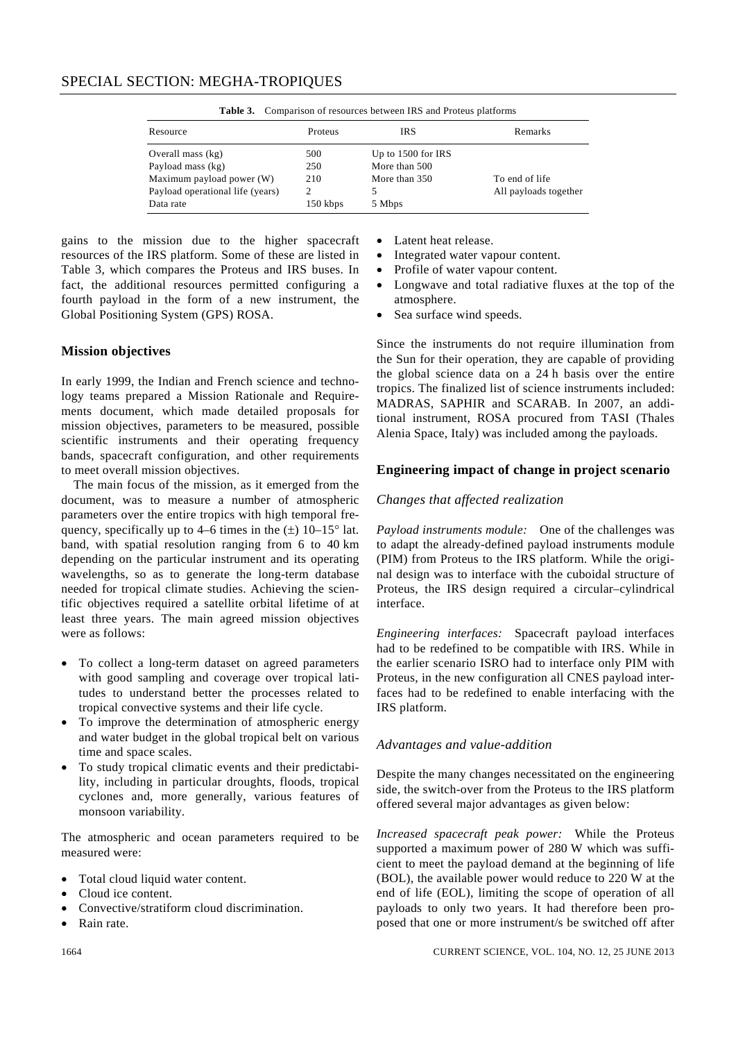| <b>Table 3.</b> Comparison of resources between this and Froleus platforms |          |                      |                       |  |  |  |
|----------------------------------------------------------------------------|----------|----------------------|-----------------------|--|--|--|
| Resource                                                                   | Proteus  | <b>IRS</b>           | Remarks               |  |  |  |
| Overall mass $(kg)$                                                        | 500      | Up to $1500$ for IRS |                       |  |  |  |
| Payload mass (kg)                                                          | 250      | More than 500        |                       |  |  |  |
| Maximum payload power (W)                                                  | 210      | More than 350        | To end of life        |  |  |  |
| Payload operational life (years)                                           |          | 5.                   | All payloads together |  |  |  |
| Data rate                                                                  | 150 kbps | 5 Mbps               |                       |  |  |  |

**Table 3.** Comparison of resources between IRS and Proteus platforms

gains to the mission due to the higher spacecraft resources of the IRS platform. Some of these are listed in Table 3, which compares the Proteus and IRS buses. In fact, the additional resources permitted configuring a fourth payload in the form of a new instrument, the Global Positioning System (GPS) ROSA.

## **Mission objectives**

In early 1999, the Indian and French science and technology teams prepared a Mission Rationale and Requirements document, which made detailed proposals for mission objectives, parameters to be measured, possible scientific instruments and their operating frequency bands, spacecraft configuration, and other requirements to meet overall mission objectives.

 The main focus of the mission, as it emerged from the document, was to measure a number of atmospheric parameters over the entire tropics with high temporal frequency, specifically up to 4–6 times in the  $(\pm)$  10–15° lat. band, with spatial resolution ranging from 6 to 40 km depending on the particular instrument and its operating wavelengths, so as to generate the long-term database needed for tropical climate studies. Achieving the scientific objectives required a satellite orbital lifetime of at least three years. The main agreed mission objectives were as follows:

- To collect a long-term dataset on agreed parameters with good sampling and coverage over tropical latitudes to understand better the processes related to tropical convective systems and their life cycle.
- To improve the determination of atmospheric energy and water budget in the global tropical belt on various time and space scales.
- To study tropical climatic events and their predictability, including in particular droughts, floods, tropical cyclones and, more generally, various features of monsoon variability.

The atmospheric and ocean parameters required to be measured were:

- Total cloud liquid water content.
- Cloud ice content.
- Convective/stratiform cloud discrimination.
- Rain rate.
- Latent heat release.
- Integrated water vapour content.
- Profile of water vapour content.
- Longwave and total radiative fluxes at the top of the atmosphere.
- Sea surface wind speeds.

Since the instruments do not require illumination from the Sun for their operation, they are capable of providing the global science data on a 24 h basis over the entire tropics. The finalized list of science instruments included: MADRAS, SAPHIR and SCARAB. In 2007, an additional instrument, ROSA procured from TASI (Thales Alenia Space, Italy) was included among the payloads.

## **Engineering impact of change in project scenario**

## *Changes that affected realization*

*Payload instruments module:* One of the challenges was to adapt the already-defined payload instruments module (PIM) from Proteus to the IRS platform. While the original design was to interface with the cuboidal structure of Proteus, the IRS design required a circular–cylindrical interface.

*Engineering interfaces:* Spacecraft payload interfaces had to be redefined to be compatible with IRS. While in the earlier scenario ISRO had to interface only PIM with Proteus, in the new configuration all CNES payload interfaces had to be redefined to enable interfacing with the IRS platform.

## *Advantages and value-addition*

Despite the many changes necessitated on the engineering side, the switch-over from the Proteus to the IRS platform offered several major advantages as given below:

*Increased spacecraft peak power:* While the Proteus supported a maximum power of 280 W which was sufficient to meet the payload demand at the beginning of life (BOL), the available power would reduce to 220 W at the end of life (EOL), limiting the scope of operation of all payloads to only two years. It had therefore been proposed that one or more instrument/s be switched off after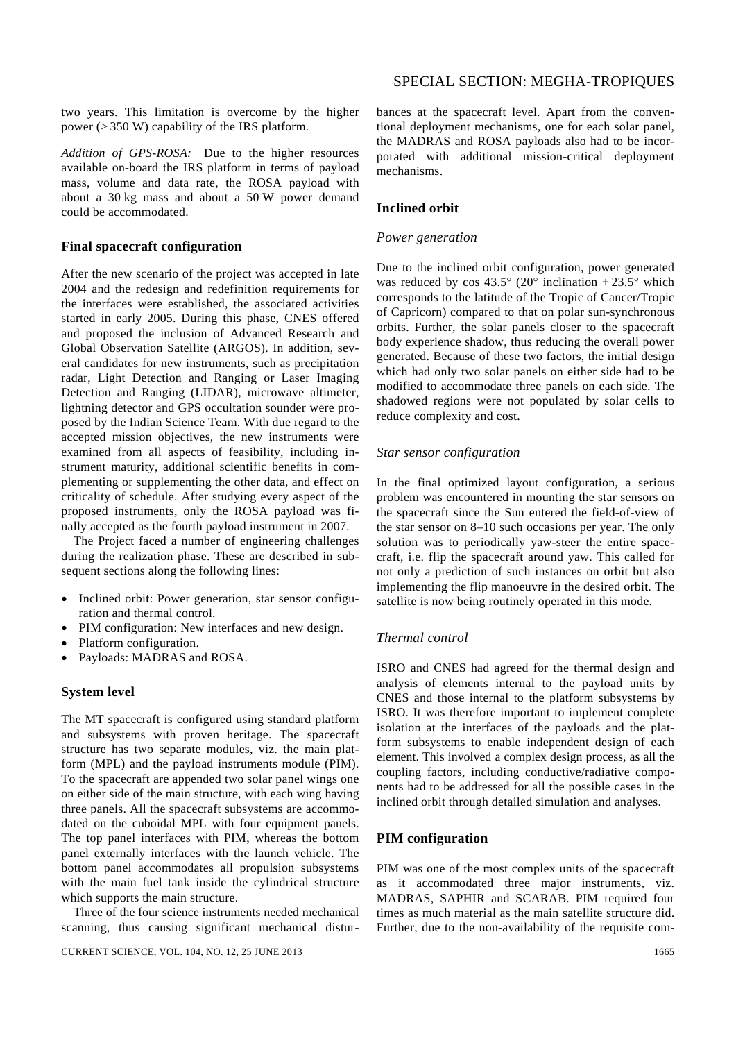two years. This limitation is overcome by the higher power (> 350 W) capability of the IRS platform.

*Addition of GPS-ROSA:* Due to the higher resources available on-board the IRS platform in terms of payload mass, volume and data rate, the ROSA payload with about a 30 kg mass and about a 50 W power demand could be accommodated.

#### **Final spacecraft configuration**

After the new scenario of the project was accepted in late 2004 and the redesign and redefinition requirements for the interfaces were established, the associated activities started in early 2005. During this phase, CNES offered and proposed the inclusion of Advanced Research and Global Observation Satellite (ARGOS). In addition, several candidates for new instruments, such as precipitation radar, Light Detection and Ranging or Laser Imaging Detection and Ranging (LIDAR), microwave altimeter, lightning detector and GPS occultation sounder were proposed by the Indian Science Team. With due regard to the accepted mission objectives, the new instruments were examined from all aspects of feasibility, including instrument maturity, additional scientific benefits in complementing or supplementing the other data, and effect on criticality of schedule. After studying every aspect of the proposed instruments, only the ROSA payload was finally accepted as the fourth payload instrument in 2007.

 The Project faced a number of engineering challenges during the realization phase. These are described in subsequent sections along the following lines:

- Inclined orbit: Power generation, star sensor configuration and thermal control.
- PIM configuration: New interfaces and new design.
- Platform configuration.
- Payloads: MADRAS and ROSA.

#### **System level**

The MT spacecraft is configured using standard platform and subsystems with proven heritage. The spacecraft structure has two separate modules, viz. the main platform (MPL) and the payload instruments module (PIM). To the spacecraft are appended two solar panel wings one on either side of the main structure, with each wing having three panels. All the spacecraft subsystems are accommodated on the cuboidal MPL with four equipment panels. The top panel interfaces with PIM, whereas the bottom panel externally interfaces with the launch vehicle. The bottom panel accommodates all propulsion subsystems with the main fuel tank inside the cylindrical structure which supports the main structure.

 Three of the four science instruments needed mechanical scanning, thus causing significant mechanical disturbances at the spacecraft level. Apart from the conventional deployment mechanisms, one for each solar panel, the MADRAS and ROSA payloads also had to be incorporated with additional mission-critical deployment mechanisms.

## **Inclined orbit**

#### *Power generation*

Due to the inclined orbit configuration, power generated was reduced by  $\cos 43.5^{\circ}$  (20° inclination +23.5° which corresponds to the latitude of the Tropic of Cancer/Tropic of Capricorn) compared to that on polar sun-synchronous orbits. Further, the solar panels closer to the spacecraft body experience shadow, thus reducing the overall power generated. Because of these two factors, the initial design which had only two solar panels on either side had to be modified to accommodate three panels on each side. The shadowed regions were not populated by solar cells to reduce complexity and cost.

#### *Star sensor configuration*

In the final optimized layout configuration, a serious problem was encountered in mounting the star sensors on the spacecraft since the Sun entered the field-of-view of the star sensor on 8–10 such occasions per year. The only solution was to periodically yaw-steer the entire spacecraft, i.e. flip the spacecraft around yaw. This called for not only a prediction of such instances on orbit but also implementing the flip manoeuvre in the desired orbit. The satellite is now being routinely operated in this mode.

#### *Thermal control*

ISRO and CNES had agreed for the thermal design and analysis of elements internal to the payload units by CNES and those internal to the platform subsystems by ISRO. It was therefore important to implement complete isolation at the interfaces of the payloads and the platform subsystems to enable independent design of each element. This involved a complex design process, as all the coupling factors, including conductive/radiative components had to be addressed for all the possible cases in the inclined orbit through detailed simulation and analyses.

#### **PIM configuration**

PIM was one of the most complex units of the spacecraft as it accommodated three major instruments, viz. MADRAS, SAPHIR and SCARAB. PIM required four times as much material as the main satellite structure did. Further, due to the non-availability of the requisite com-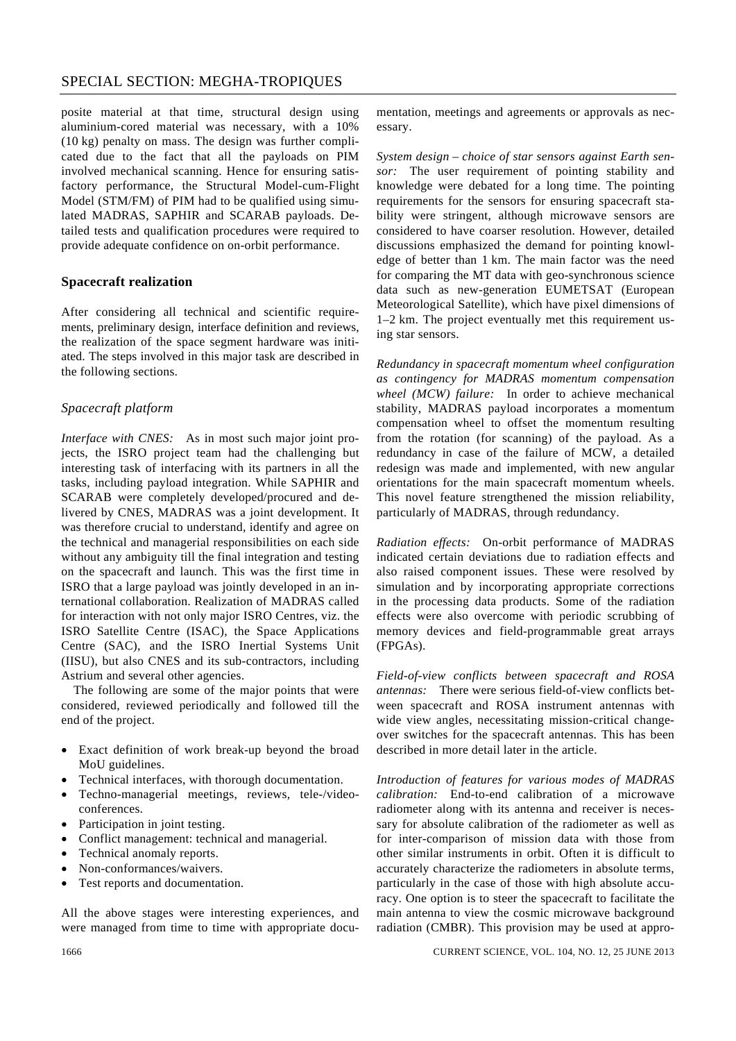posite material at that time, structural design using aluminium-cored material was necessary, with a 10% (10 kg) penalty on mass. The design was further complicated due to the fact that all the payloads on PIM involved mechanical scanning. Hence for ensuring satisfactory performance, the Structural Model-cum-Flight Model (STM/FM) of PIM had to be qualified using simulated MADRAS, SAPHIR and SCARAB payloads. Detailed tests and qualification procedures were required to provide adequate confidence on on-orbit performance.

## **Spacecraft realization**

After considering all technical and scientific requirements, preliminary design, interface definition and reviews, the realization of the space segment hardware was initiated. The steps involved in this major task are described in the following sections.

## *Spacecraft platform*

*Interface with CNES:* As in most such major joint projects, the ISRO project team had the challenging but interesting task of interfacing with its partners in all the tasks, including payload integration. While SAPHIR and SCARAB were completely developed/procured and delivered by CNES, MADRAS was a joint development. It was therefore crucial to understand, identify and agree on the technical and managerial responsibilities on each side without any ambiguity till the final integration and testing on the spacecraft and launch. This was the first time in ISRO that a large payload was jointly developed in an international collaboration. Realization of MADRAS called for interaction with not only major ISRO Centres, viz. the ISRO Satellite Centre (ISAC), the Space Applications Centre (SAC), and the ISRO Inertial Systems Unit (IISU), but also CNES and its sub-contractors, including Astrium and several other agencies.

 The following are some of the major points that were considered, reviewed periodically and followed till the end of the project.

- Exact definition of work break-up beyond the broad MoU guidelines.
- Technical interfaces, with thorough documentation.
- Techno-managerial meetings, reviews, tele-/videoconferences.
- Participation in joint testing.
- Conflict management: technical and managerial.
- Technical anomaly reports.
- Non-conformances/waivers.
- Test reports and documentation.

All the above stages were interesting experiences, and were managed from time to time with appropriate documentation, meetings and agreements or approvals as necessary.

*System design – choice of star sensors against Earth sensor:* The user requirement of pointing stability and knowledge were debated for a long time. The pointing requirements for the sensors for ensuring spacecraft stability were stringent, although microwave sensors are considered to have coarser resolution. However, detailed discussions emphasized the demand for pointing knowledge of better than 1 km. The main factor was the need for comparing the MT data with geo-synchronous science data such as new-generation EUMETSAT (European Meteorological Satellite), which have pixel dimensions of 1–2 km. The project eventually met this requirement using star sensors.

*Redundancy in spacecraft momentum wheel configuration as contingency for MADRAS momentum compensation wheel (MCW) failure:* In order to achieve mechanical stability, MADRAS payload incorporates a momentum compensation wheel to offset the momentum resulting from the rotation (for scanning) of the payload. As a redundancy in case of the failure of MCW, a detailed redesign was made and implemented, with new angular orientations for the main spacecraft momentum wheels. This novel feature strengthened the mission reliability, particularly of MADRAS, through redundancy.

*Radiation effects:* On-orbit performance of MADRAS indicated certain deviations due to radiation effects and also raised component issues. These were resolved by simulation and by incorporating appropriate corrections in the processing data products. Some of the radiation effects were also overcome with periodic scrubbing of memory devices and field-programmable great arrays (FPGAs).

*Field-of-view conflicts between spacecraft and ROSA antennas:* There were serious field-of-view conflicts between spacecraft and ROSA instrument antennas with wide view angles, necessitating mission-critical changeover switches for the spacecraft antennas. This has been described in more detail later in the article.

*Introduction of features for various modes of MADRAS calibration:* End-to-end calibration of a microwave radiometer along with its antenna and receiver is necessary for absolute calibration of the radiometer as well as for inter-comparison of mission data with those from other similar instruments in orbit. Often it is difficult to accurately characterize the radiometers in absolute terms, particularly in the case of those with high absolute accuracy. One option is to steer the spacecraft to facilitate the main antenna to view the cosmic microwave background radiation (CMBR). This provision may be used at appro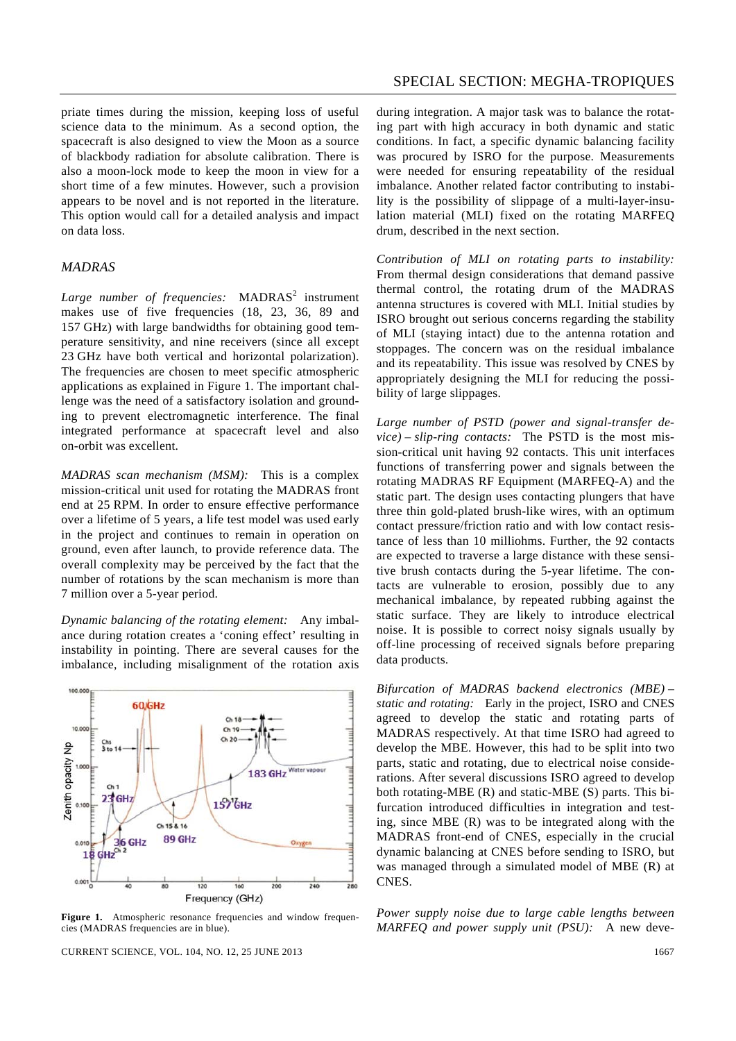priate times during the mission, keeping loss of useful science data to the minimum. As a second option, the spacecraft is also designed to view the Moon as a source of blackbody radiation for absolute calibration. There is also a moon-lock mode to keep the moon in view for a short time of a few minutes. However, such a provision appears to be novel and is not reported in the literature. This option would call for a detailed analysis and impact on data loss.

#### *MADRAS*

Large number of frequencies: MADRAS<sup>2</sup> instrument makes use of five frequencies (18, 23, 36, 89 and 157 GHz) with large bandwidths for obtaining good temperature sensitivity, and nine receivers (since all except 23 GHz have both vertical and horizontal polarization). The frequencies are chosen to meet specific atmospheric applications as explained in Figure 1. The important challenge was the need of a satisfactory isolation and grounding to prevent electromagnetic interference. The final integrated performance at spacecraft level and also on-orbit was excellent.

*MADRAS scan mechanism (MSM):* This is a complex mission-critical unit used for rotating the MADRAS front end at 25 RPM. In order to ensure effective performance over a lifetime of 5 years, a life test model was used early in the project and continues to remain in operation on ground, even after launch, to provide reference data. The overall complexity may be perceived by the fact that the number of rotations by the scan mechanism is more than 7 million over a 5-year period.

*Dynamic balancing of the rotating element:* Any imbalance during rotation creates a 'coning effect' resulting in instability in pointing. There are several causes for the imbalance, including misalignment of the rotation axis



**Figure 1.** Atmospheric resonance frequencies and window frequencies (MADRAS frequencies are in blue).

CURRENT SCIENCE, VOL. 104, NO. 12, 25 JUNE 2013 1667

during integration. A major task was to balance the rotating part with high accuracy in both dynamic and static conditions. In fact, a specific dynamic balancing facility was procured by ISRO for the purpose. Measurements were needed for ensuring repeatability of the residual imbalance. Another related factor contributing to instability is the possibility of slippage of a multi-layer-insulation material (MLI) fixed on the rotating MARFEQ drum, described in the next section.

*Contribution of MLI on rotating parts to instability:* From thermal design considerations that demand passive thermal control, the rotating drum of the MADRAS antenna structures is covered with MLI. Initial studies by ISRO brought out serious concerns regarding the stability of MLI (staying intact) due to the antenna rotation and stoppages. The concern was on the residual imbalance and its repeatability. This issue was resolved by CNES by appropriately designing the MLI for reducing the possibility of large slippages.

*Large number of PSTD (power and signal-transfer device) – slip-ring contacts:* The PSTD is the most mission-critical unit having 92 contacts. This unit interfaces functions of transferring power and signals between the rotating MADRAS RF Equipment (MARFEQ-A) and the static part. The design uses contacting plungers that have three thin gold-plated brush-like wires, with an optimum contact pressure/friction ratio and with low contact resistance of less than 10 milliohms. Further, the 92 contacts are expected to traverse a large distance with these sensitive brush contacts during the 5-year lifetime. The contacts are vulnerable to erosion, possibly due to any mechanical imbalance, by repeated rubbing against the static surface. They are likely to introduce electrical noise. It is possible to correct noisy signals usually by off-line processing of received signals before preparing data products.

*Bifurcation of MADRAS backend electronics (MBE) – static and rotating:* Early in the project, ISRO and CNES agreed to develop the static and rotating parts of MADRAS respectively. At that time ISRO had agreed to develop the MBE. However, this had to be split into two parts, static and rotating, due to electrical noise considerations. After several discussions ISRO agreed to develop both rotating-MBE (R) and static-MBE (S) parts. This bifurcation introduced difficulties in integration and testing, since MBE (R) was to be integrated along with the MADRAS front-end of CNES, especially in the crucial dynamic balancing at CNES before sending to ISRO, but was managed through a simulated model of MBE (R) at CNES.

*Power supply noise due to large cable lengths between MARFEQ and power supply unit (PSU):* A new deve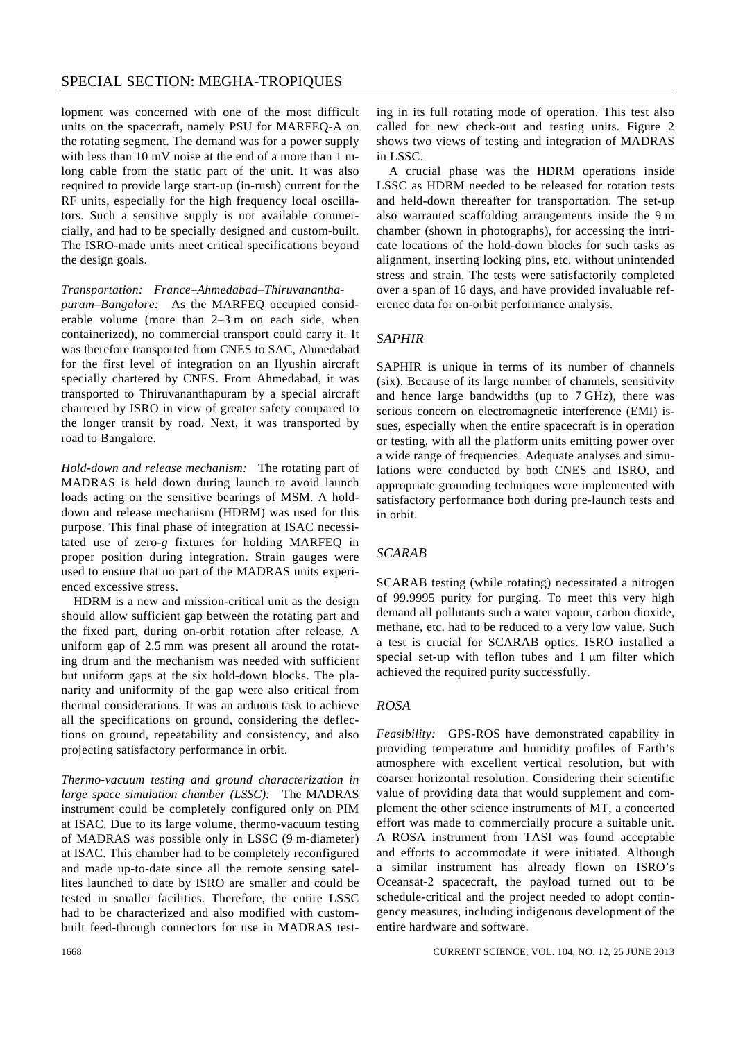lopment was concerned with one of the most difficult units on the spacecraft, namely PSU for MARFEQ-A on the rotating segment. The demand was for a power supply with less than 10 mV noise at the end of a more than 1 mlong cable from the static part of the unit. It was also required to provide large start-up (in-rush) current for the RF units, especially for the high frequency local oscillators. Such a sensitive supply is not available commercially, and had to be specially designed and custom-built. The ISRO-made units meet critical specifications beyond the design goals.

#### *Transportation: France–Ahmedabad–Thiruvanantha-*

*puram–Bangalore:* As the MARFEQ occupied considerable volume (more than 2–3 m on each side, when containerized), no commercial transport could carry it. It was therefore transported from CNES to SAC, Ahmedabad for the first level of integration on an Ilyushin aircraft specially chartered by CNES. From Ahmedabad, it was transported to Thiruvananthapuram by a special aircraft chartered by ISRO in view of greater safety compared to the longer transit by road. Next, it was transported by road to Bangalore.

*Hold-down and release mechanism:* The rotating part of MADRAS is held down during launch to avoid launch loads acting on the sensitive bearings of MSM. A holddown and release mechanism (HDRM) was used for this purpose. This final phase of integration at ISAC necessitated use of zero-*g* fixtures for holding MARFEQ in proper position during integration. Strain gauges were used to ensure that no part of the MADRAS units experienced excessive stress.

 HDRM is a new and mission-critical unit as the design should allow sufficient gap between the rotating part and the fixed part, during on-orbit rotation after release. A uniform gap of 2.5 mm was present all around the rotating drum and the mechanism was needed with sufficient but uniform gaps at the six hold-down blocks. The planarity and uniformity of the gap were also critical from thermal considerations. It was an arduous task to achieve all the specifications on ground, considering the deflections on ground, repeatability and consistency, and also projecting satisfactory performance in orbit.

*Thermo-vacuum testing and ground characterization in large space simulation chamber (LSSC):* The MADRAS instrument could be completely configured only on PIM at ISAC. Due to its large volume, thermo-vacuum testing of MADRAS was possible only in LSSC (9 m-diameter) at ISAC. This chamber had to be completely reconfigured and made up-to-date since all the remote sensing satellites launched to date by ISRO are smaller and could be tested in smaller facilities. Therefore, the entire LSSC had to be characterized and also modified with custombuilt feed-through connectors for use in MADRAS test-

 A crucial phase was the HDRM operations inside LSSC as HDRM needed to be released for rotation tests and held-down thereafter for transportation. The set-up also warranted scaffolding arrangements inside the 9 m chamber (shown in photographs), for accessing the intricate locations of the hold-down blocks for such tasks as alignment, inserting locking pins, etc. without unintended stress and strain. The tests were satisfactorily completed over a span of 16 days, and have provided invaluable reference data for on-orbit performance analysis.

## *SAPHIR*

SAPHIR is unique in terms of its number of channels (six). Because of its large number of channels, sensitivity and hence large bandwidths (up to 7 GHz), there was serious concern on electromagnetic interference (EMI) issues, especially when the entire spacecraft is in operation or testing, with all the platform units emitting power over a wide range of frequencies. Adequate analyses and simulations were conducted by both CNES and ISRO, and appropriate grounding techniques were implemented with satisfactory performance both during pre-launch tests and in orbit.

## *SCARAB*

SCARAB testing (while rotating) necessitated a nitrogen of 99.9995 purity for purging. To meet this very high demand all pollutants such a water vapour, carbon dioxide, methane, etc. had to be reduced to a very low value. Such a test is crucial for SCARAB optics. ISRO installed a special set-up with teflon tubes and 1 μm filter which achieved the required purity successfully.

## *ROSA*

*Feasibility:* GPS-ROS have demonstrated capability in providing temperature and humidity profiles of Earth's atmosphere with excellent vertical resolution, but with coarser horizontal resolution. Considering their scientific value of providing data that would supplement and complement the other science instruments of MT, a concerted effort was made to commercially procure a suitable unit. A ROSA instrument from TASI was found acceptable and efforts to accommodate it were initiated. Although a similar instrument has already flown on ISRO's Oceansat-2 spacecraft, the payload turned out to be schedule-critical and the project needed to adopt contingency measures, including indigenous development of the entire hardware and software.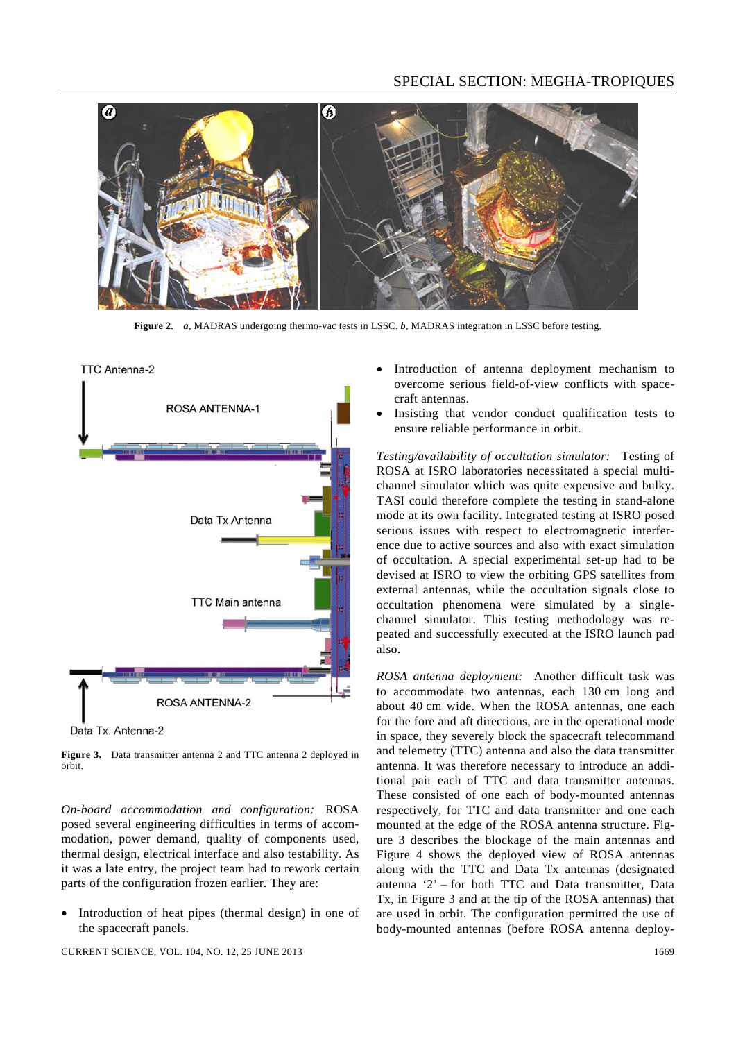

**Figure 2.** *a*, MADRAS undergoing thermo-vac tests in LSSC. *b*, MADRAS integration in LSSC before testing.



Data Tx. Antenna-2

**Figure 3.** Data transmitter antenna 2 and TTC antenna 2 deployed in orbit.

*On-board accommodation and configuration:* ROSA posed several engineering difficulties in terms of accommodation, power demand, quality of components used, thermal design, electrical interface and also testability. As it was a late entry, the project team had to rework certain parts of the configuration frozen earlier. They are:

Introduction of heat pipes (thermal design) in one of the spacecraft panels.

CURRENT SCIENCE, VOL. 104, NO. 12, 25 JUNE 2013 1669

- Introduction of antenna deployment mechanism to overcome serious field-of-view conflicts with spacecraft antennas.
- Insisting that vendor conduct qualification tests to ensure reliable performance in orbit.

*Testing/availability of occultation simulator:* Testing of ROSA at ISRO laboratories necessitated a special multichannel simulator which was quite expensive and bulky. TASI could therefore complete the testing in stand-alone mode at its own facility. Integrated testing at ISRO posed serious issues with respect to electromagnetic interference due to active sources and also with exact simulation of occultation. A special experimental set-up had to be devised at ISRO to view the orbiting GPS satellites from external antennas, while the occultation signals close to occultation phenomena were simulated by a singlechannel simulator. This testing methodology was repeated and successfully executed at the ISRO launch pad also.

*ROSA antenna deployment:* Another difficult task was to accommodate two antennas, each 130 cm long and about 40 cm wide. When the ROSA antennas, one each for the fore and aft directions, are in the operational mode in space, they severely block the spacecraft telecommand and telemetry (TTC) antenna and also the data transmitter antenna. It was therefore necessary to introduce an additional pair each of TTC and data transmitter antennas. These consisted of one each of body-mounted antennas respectively, for TTC and data transmitter and one each mounted at the edge of the ROSA antenna structure. Figure 3 describes the blockage of the main antennas and Figure 4 shows the deployed view of ROSA antennas along with the TTC and Data Tx antennas (designated antenna '2' – for both TTC and Data transmitter, Data Tx, in Figure 3 and at the tip of the ROSA antennas) that are used in orbit. The configuration permitted the use of body-mounted antennas (before ROSA antenna deploy-